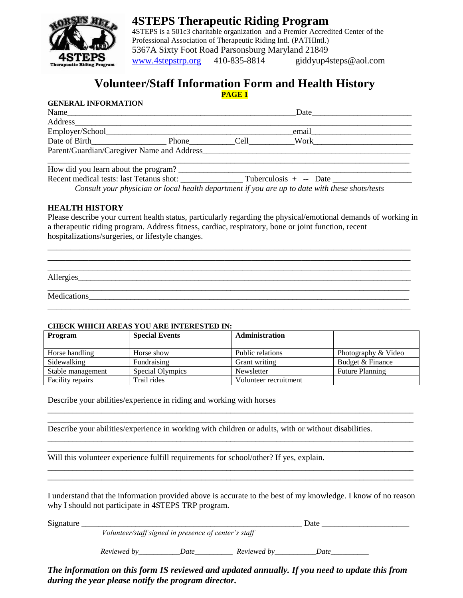

**4STEPS Therapeutic Riding Program** 4STEPS is a 501c3 charitable organization and a Premier Accredited Center of the Professional Association of Therapeutic Riding Intl. (PATHIntl.) 5367A Sixty Foot Road Parsonsburg Maryland 21849 [www.4stepstrp.org](http://www.4stepstrp.org/) 410-835-8814 giddyup4steps@aol.com

# **Volunteer/Staff Information Form and Health History**

#### **PAGE 1**

### **GENERAL INFORMATION**

| Name                                       |            | Date        |  |
|--------------------------------------------|------------|-------------|--|
| <b>Address</b>                             |            |             |  |
| Employer/School_                           |            | email       |  |
| Date of Birth                              | Phone Cell | <b>Work</b> |  |
| Parent/Guardian/Caregiver Name and Address |            |             |  |
| How did you learn about the program?       |            |             |  |

Recent medical tests: last Tetanus shot: \_\_\_\_\_\_\_\_\_\_\_\_\_\_\_ Tuberculosis + -- Date \_\_\_\_\_\_\_\_\_\_\_\_\_\_\_\_\_\_\_

*Consult your physician or local health department if you are up to date with these shots/tests*

### **HEALTH HISTORY**

Please describe your current health status, particularly regarding the physical/emotional demands of working in a therapeutic riding program. Address fitness, cardiac, respiratory, bone or joint function, recent hospitalizations/surgeries, or lifestyle changes.

| Allergies |  |  |  |
|-----------|--|--|--|
|           |  |  |  |

\_\_\_\_\_\_\_\_\_\_\_\_\_\_\_\_\_\_\_\_\_\_\_\_\_\_\_\_\_\_\_\_\_\_\_\_\_\_\_\_\_\_\_\_\_\_\_\_\_\_\_\_\_\_\_\_\_\_\_\_\_\_\_\_\_\_\_\_\_\_\_\_\_\_\_\_\_\_\_\_

\_\_\_\_\_\_\_\_\_\_\_\_\_\_\_\_\_\_\_\_\_\_\_\_\_\_\_\_\_\_\_\_\_\_\_\_\_\_\_\_\_\_\_\_\_\_\_\_\_\_\_\_\_\_\_\_\_\_\_\_\_\_\_\_\_\_\_\_\_\_\_\_\_\_\_\_\_\_\_\_ \_\_\_\_\_\_\_\_\_\_\_\_\_\_\_\_\_\_\_\_\_\_\_\_\_\_\_\_\_\_\_\_\_\_\_\_\_\_\_\_\_\_\_\_\_\_\_\_\_\_\_\_\_\_\_\_\_\_\_\_\_\_\_\_\_\_\_\_\_\_\_\_\_\_\_\_\_\_\_\_

Medications

#### **CHECK WHICH AREAS YOU ARE INTERESTED IN:**

| Program                 | <b>Special Events</b> | <b>Administration</b> |                        |
|-------------------------|-----------------------|-----------------------|------------------------|
|                         |                       |                       |                        |
| Horse handling          | Horse show            | Public relations      | Photography & Video    |
| Sidewalking             | Fundraising           | Grant writing         | Budget & Finance       |
| Stable management       | Special Olympics      | Newsletter            | <b>Future Planning</b> |
| <b>Facility repairs</b> | Trail rides           | Volunteer recruitment |                        |

\_\_\_\_\_\_\_\_\_\_\_\_\_\_\_\_\_\_\_\_\_\_\_\_\_\_\_\_\_\_\_\_\_\_\_\_\_\_\_\_\_\_\_\_\_\_\_\_\_\_\_\_\_\_\_\_\_\_\_\_\_\_\_\_\_\_\_\_\_\_\_\_\_\_\_\_\_\_\_\_\_\_\_\_\_\_\_\_ \_\_\_\_\_\_\_\_\_\_\_\_\_\_\_\_\_\_\_\_\_\_\_\_\_\_\_\_\_\_\_\_\_\_\_\_\_\_\_\_\_\_\_\_\_\_\_\_\_\_\_\_\_\_\_\_\_\_\_\_\_\_\_\_\_\_\_\_\_\_\_\_\_\_\_\_\_\_\_\_\_\_\_\_\_\_\_\_

\_\_\_\_\_\_\_\_\_\_\_\_\_\_\_\_\_\_\_\_\_\_\_\_\_\_\_\_\_\_\_\_\_\_\_\_\_\_\_\_\_\_\_\_\_\_\_\_\_\_\_\_\_\_\_\_\_\_\_\_\_\_\_\_\_\_\_\_\_\_\_\_\_\_\_\_\_\_\_\_\_\_\_\_\_\_\_\_ \_\_\_\_\_\_\_\_\_\_\_\_\_\_\_\_\_\_\_\_\_\_\_\_\_\_\_\_\_\_\_\_\_\_\_\_\_\_\_\_\_\_\_\_\_\_\_\_\_\_\_\_\_\_\_\_\_\_\_\_\_\_\_\_\_\_\_\_\_\_\_\_\_\_\_\_\_\_\_\_\_\_\_\_\_\_\_\_

\_\_\_\_\_\_\_\_\_\_\_\_\_\_\_\_\_\_\_\_\_\_\_\_\_\_\_\_\_\_\_\_\_\_\_\_\_\_\_\_\_\_\_\_\_\_\_\_\_\_\_\_\_\_\_\_\_\_\_\_\_\_\_\_\_\_\_\_\_\_\_\_\_\_\_\_\_\_\_\_\_\_\_\_\_\_\_\_ \_\_\_\_\_\_\_\_\_\_\_\_\_\_\_\_\_\_\_\_\_\_\_\_\_\_\_\_\_\_\_\_\_\_\_\_\_\_\_\_\_\_\_\_\_\_\_\_\_\_\_\_\_\_\_\_\_\_\_\_\_\_\_\_\_\_\_\_\_\_\_\_\_\_\_\_\_\_\_\_\_\_\_\_\_\_\_\_

Describe your abilities/experience in riding and working with horses

Describe your abilities/experience in working with children or adults, with or without disabilities.

Will this volunteer experience fulfill requirements for school/other? If yes, explain.

I understand that the information provided above is accurate to the best of my knowledge. I know of no reason why I should not participate in 4STEPS TRP program.

| Signature |                                                      |      |             | Date |  |
|-----------|------------------------------------------------------|------|-------------|------|--|
|           | Volunteer/staff signed in presence of center's staff |      |             |      |  |
|           | Reviewed by                                          | Date | Reviewed by | Date |  |

*The information on this form IS reviewed and updated annually. If you need to update this from during the year please notify the program director.*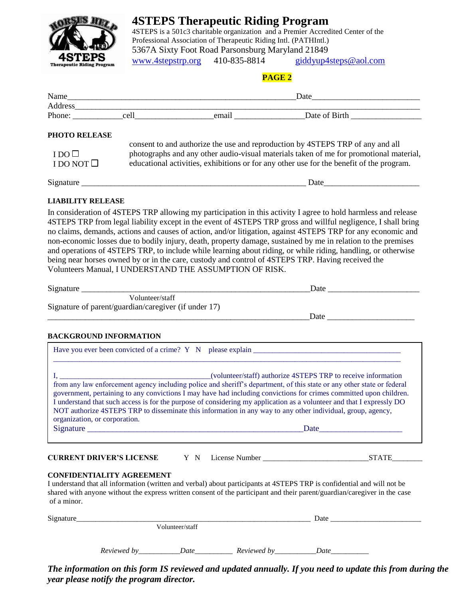

## **4STEPS Therapeutic Riding Program**

4STEPS is a 501c3 charitable organization and a Premier Accredited Center of the Professional Association of Therapeutic Riding Intl. (PATHIntl.) 5367A Sixty Foot Road Parsonsburg Maryland 21849 [www.4stepstrp.org](http://www.4stepstrp.org/) 410-835-8814 [giddyup4steps@aol.com](mailto:giddyup4steps@aol.com)

### **PAGE 2**

|                                     |                                                                                                                                                                                                                                                                      | Name and the same state of the same state of the same state of the same state of the same state of the same state of the same state of the same state of the same state of the same state of the same state of the same state |                                                                                                                                                                                                                                                                                                                                                                                                                                                                  |  |
|-------------------------------------|----------------------------------------------------------------------------------------------------------------------------------------------------------------------------------------------------------------------------------------------------------------------|-------------------------------------------------------------------------------------------------------------------------------------------------------------------------------------------------------------------------------|------------------------------------------------------------------------------------------------------------------------------------------------------------------------------------------------------------------------------------------------------------------------------------------------------------------------------------------------------------------------------------------------------------------------------------------------------------------|--|
|                                     |                                                                                                                                                                                                                                                                      |                                                                                                                                                                                                                               |                                                                                                                                                                                                                                                                                                                                                                                                                                                                  |  |
|                                     |                                                                                                                                                                                                                                                                      |                                                                                                                                                                                                                               |                                                                                                                                                                                                                                                                                                                                                                                                                                                                  |  |
| PHOTO RELEASE                       |                                                                                                                                                                                                                                                                      |                                                                                                                                                                                                                               |                                                                                                                                                                                                                                                                                                                                                                                                                                                                  |  |
| $I DO\square$<br>I DO NOT $\square$ | consent to and authorize the use and reproduction by 4STEPS TRP of any and all<br>photographs and any other audio-visual materials taken of me for promotional material,<br>educational activities, exhibitions or for any other use for the benefit of the program. |                                                                                                                                                                                                                               |                                                                                                                                                                                                                                                                                                                                                                                                                                                                  |  |
|                                     |                                                                                                                                                                                                                                                                      |                                                                                                                                                                                                                               | Date                                                                                                                                                                                                                                                                                                                                                                                                                                                             |  |
| <b>LIABILITY RELEASE</b>            |                                                                                                                                                                                                                                                                      |                                                                                                                                                                                                                               |                                                                                                                                                                                                                                                                                                                                                                                                                                                                  |  |
|                                     |                                                                                                                                                                                                                                                                      |                                                                                                                                                                                                                               | In consideration of 4STEPS TRP allowing my participation in this activity I agree to hold harmless and release<br>4STEPS TRP from legal liability except in the event of 4STEPS TRP gross and willful negligence, I shall bring<br>no claims, demands, actions and causes of action, and/or litigation, against 4STEPS TRP for any economic and<br>non-economic losses due to bodily injury, death, property damage, sustained by me in relation to the premises |  |

and operations of 4STEPS TRP, to include while learning about riding, or while riding, handling, or otherwise being near horses owned by or in the care, custody and control of 4STEPS TRP. Having received the Volunteers Manual, I UNDERSTAND THE ASSUMPTION OF RISK.

| Signature                                            | Date |  |
|------------------------------------------------------|------|--|
| Volunteer/staff                                      |      |  |
| Signature of parent/guardian/caregiver (if under 17) |      |  |
|                                                      | Date |  |
| <b>BACKGROUND INFORMATION</b>                        |      |  |
|                                                      |      |  |

| Have you ever been convicted of a crime? Y N please explain ______                                                                                                                                                                                                                                                                                                                                                                                                                                                    |
|-----------------------------------------------------------------------------------------------------------------------------------------------------------------------------------------------------------------------------------------------------------------------------------------------------------------------------------------------------------------------------------------------------------------------------------------------------------------------------------------------------------------------|
| (volunteer/staff) authorize 4STEPS TRP to receive information                                                                                                                                                                                                                                                                                                                                                                                                                                                         |
| from any law enforcement agency including police and sheriff's department, of this state or any other state or federal<br>government, pertaining to any convictions I may have had including convictions for crimes committed upon children.<br>I understand that such access is for the purpose of considering my application as a volunteer and that I expressly DO<br>NOT authorize 4STEPS TRP to disseminate this information in any way to any other individual, group, agency,<br>organization, or corporation. |
| Signature<br>Date and the same state of the same state of the same state of the same state of the same state of the same state of the same state of the same state of the same state of the same state of the same state of the same state                                                                                                                                                                                                                                                                            |
|                                                                                                                                                                                                                                                                                                                                                                                                                                                                                                                       |

**CURRENT DRIVER'S LICENSE** Y N License Number \_\_\_\_\_\_\_\_\_\_\_\_\_\_\_\_\_\_\_\_\_\_\_\_\_\_\_\_STATE\_\_\_\_\_\_\_\_

### **CONFIDENTIALITY AGREEMENT**

I understand that all information (written and verbal) about participants at 4STEPS TRP is confidential and will not be shared with anyone without the express written consent of the participant and their parent/guardian/caregiver in the case of a minor.

| Signature |             |                 |             | Date |  |
|-----------|-------------|-----------------|-------------|------|--|
|           |             | Volunteer/staff |             |      |  |
|           |             |                 |             |      |  |
|           | Reviewed by | Date            | Reviewed by | Date |  |

*The information on this form IS reviewed and updated annually. If you need to update this from during the year please notify the program director.*